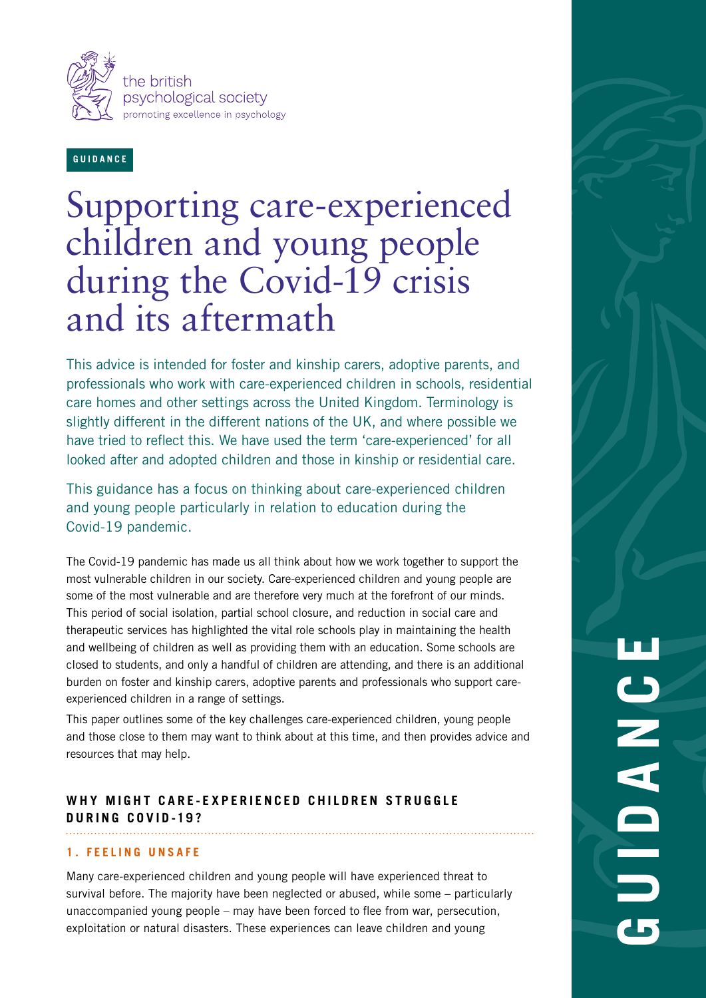

**GUIDANCE**

# Supporting care-experienced children and young people during the Covid-19 crisis and its aftermath

This advice is intended for foster and kinship carers, adoptive parents, and professionals who work with care-experienced children in schools, residential care homes and other settings across the United Kingdom. Terminology is slightly different in the different nations of the UK, and where possible we have tried to reflect this. We have used the term 'care-experienced' for all looked after and adopted children and those in kinship or residential care.

This guidance has a focus on thinking about care-experienced children and young people particularly in relation to education during the Covid-19 pandemic.

The Covid-19 pandemic has made us all think about how we work together to support the most vulnerable children in our society. Care-experienced children and young people are some of the most vulnerable and are therefore very much at the forefront of our minds. This period of social isolation, partial school closure, and reduction in social care and therapeutic services has highlighted the vital role schools play in maintaining the health and wellbeing of children as well as providing them with an education. Some schools are closed to students, and only a handful of children are attending, and there is an additional burden on foster and kinship carers, adoptive parents and professionals who support careexperienced children in a range of settings.

This paper outlines some of the key challenges care-experienced children, young people and those close to them may want to think about at this time, and then provides advice and resources that may help.

# WHY MIGHT CARE-EXPERIENCED CHILDREN STRUGGLE **DURING COVID-19?**

#### **1. FEELING UNSAFE**

Many care-experienced children and young people will have experienced threat to survival before. The majority have been neglected or abused, while some – particularly unaccompanied young people – may have been forced to flee from war, persecution, exploitation or natural disasters. These experiences can leave children and young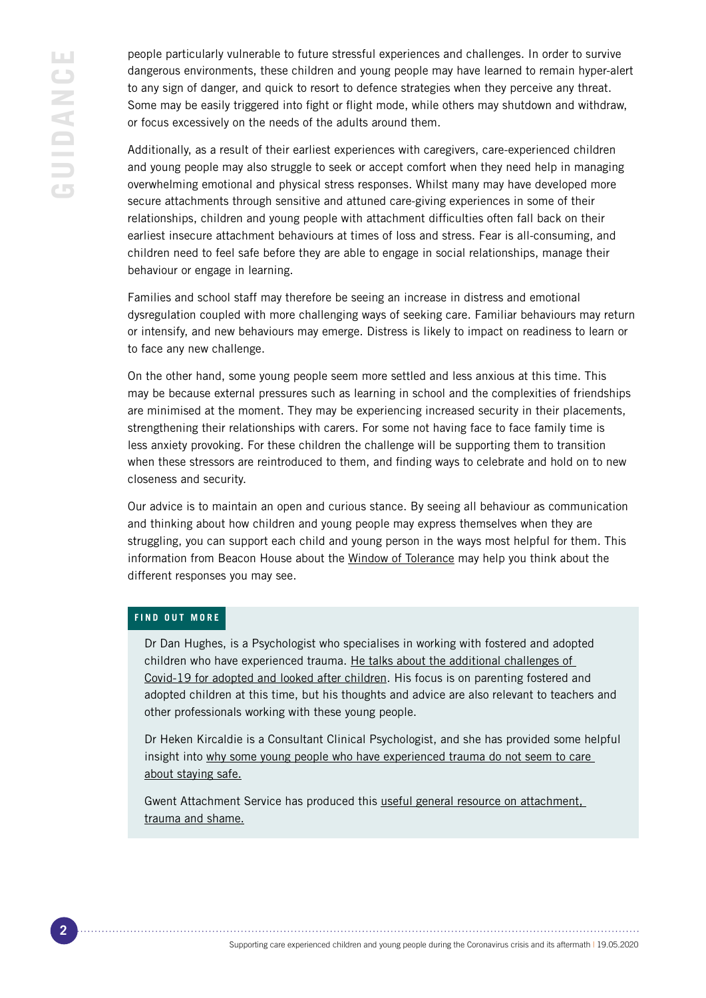people particularly vulnerable to future stressful experiences and challenges. In order to survive dangerous environments, these children and young people may have learned to remain hyper-alert to any sign of danger, and quick to resort to defence strategies when they perceive any threat. Some may be easily triggered into fight or flight mode, while others may shutdown and withdraw, or focus excessively on the needs of the adults around them.

Additionally, as a result of their earliest experiences with caregivers, care-experienced children and young people may also struggle to seek or accept comfort when they need help in managing overwhelming emotional and physical stress responses. Whilst many may have developed more secure attachments through sensitive and attuned care-giving experiences in some of their relationships, children and young people with attachment difficulties often fall back on their earliest insecure attachment behaviours at times of loss and stress. Fear is all-consuming, and children need to feel safe before they are able to engage in social relationships, manage their behaviour or engage in learning.

Families and school staff may therefore be seeing an increase in distress and emotional dysregulation coupled with more challenging ways of seeking care. Familiar behaviours may return or intensify, and new behaviours may emerge. Distress is likely to impact on readiness to learn or to face any new challenge.

On the other hand, some young people seem more settled and less anxious at this time. This may be because external pressures such as learning in school and the complexities of friendships are minimised at the moment. They may be experiencing increased security in their placements, strengthening their relationships with carers. For some not having face to face family time is less anxiety provoking. For these children the challenge will be supporting them to transition when these stressors are reintroduced to them, and finding ways to celebrate and hold on to new closeness and security.

Our advice is to maintain an open and curious stance. By seeing all behaviour as communication and thinking about how children and young people may express themselves when they are struggling, you can support each child and young person in the ways most helpful for them. This information from Beacon House about the [Window of Tolerance](https://www.youtube.com/watch?v=Wcm-1FBrDvU) may help you think about the different responses you may see.

#### **FIND OUT MORE**

Dr Dan Hughes, is a Psychologist who specialises in working with fostered and adopted children who have experienced trauma. He [talks about the additional challenges of](https://www.youtube.com/watch?v=2nLF0wdoSJ0)  [Covid-19 for adopted and looked after children](https://www.youtube.com/watch?v=2nLF0wdoSJ0). His focus is on parenting fostered and adopted children at this time, but his thoughts and advice are also relevant to teachers and other professionals working with these young people.

Dr Heken Kircaldie is a Consultant Clinical Psychologist, and she has provided some helpful insight into [why some young people who have experienced trauma do not seem to care](https://helenkirkaldie.wordpress.com/2020/04/09/how-to-support-young-people-who-dont-seem-to-care-about-staying-in-and-staying-safe/)  [about staying safe.](https://helenkirkaldie.wordpress.com/2020/04/09/how-to-support-young-people-who-dont-seem-to-care-about-staying-in-and-staying-safe/)

Gwent Attachment Service has produced this [useful general resource on attachment,](http://www.wales.nhs.uk/sitesplus/documents/866/PIU1340%281%29%28ABUHB%29%28Active%29%28SEPT%2017%29.pdf)  [trauma and shame.](http://www.wales.nhs.uk/sitesplus/documents/866/PIU1340%281%29%28ABUHB%29%28Active%29%28SEPT%2017%29.pdf)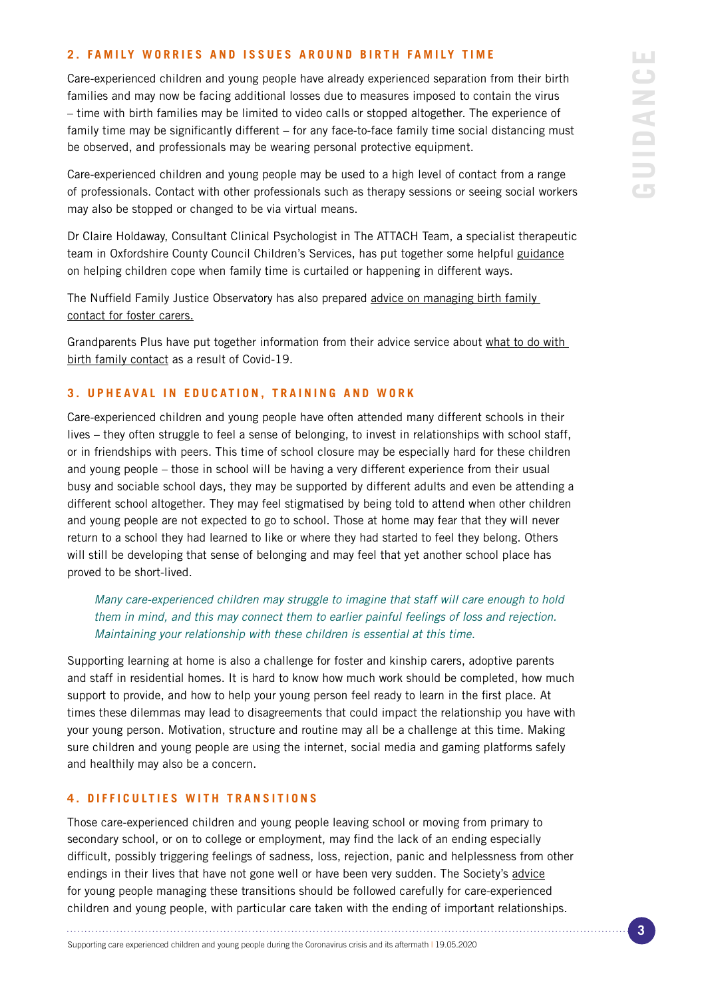#### **2. FAMILY WORRIES AND ISSUES AROUND BIRTH FAMILY TIME**

Care-experienced children and young people have already experienced separation from their birth families and may now be facing additional losses due to measures imposed to contain the virus – time with birth families may be limited to video calls or stopped altogether. The experience of family time may be significantly different – for any face-to-face family time social distancing must be observed, and professionals may be wearing personal protective equipment.

Care-experienced children and young people may be used to a high level of contact from a range of professionals. Contact with other professionals such as therapy sessions or seeing social workers may also be stopped or changed to be via virtual means.

Dr Claire Holdaway, Consultant Clinical Psychologist in The ATTACH Team, a specialist therapeutic team in Oxfordshire County Council Children's Services, has put together some helpful [guidance](https://www.oxfordshire.gov.uk/sites/default/files/file/coronavirus/COVID-19guidanceforContactFamilyTime.pdf) on helping children cope when family time is curtailed or happening in different ways.

The Nuffield Family Justice Observatory has also prepared advice on managing birth family [contact for foster carers](https://www.nuffieldfjo.org.uk/files/documents/VIRTUAL CONTACT GUIDANCE FOR FOSTER CARERS.DOCX).

Grandparents Plus have put together information from their advice service about what to do with [birth family contact](https://www.grandparentsplus.org.uk/for-kinship-carers/advice-and-support/covid-19-information-for-kinship-families/coronavirus-contact-with-birth-parents/) as a result of Covid-19.

#### **3. UPHEAVAL IN EDUCATION, TRAINING AND WORK**

Care-experienced children and young people have often attended many different schools in their lives – they often struggle to feel a sense of belonging, to invest in relationships with school staff, or in friendships with peers. This time of school closure may be especially hard for these children and young people – those in school will be having a very different experience from their usual busy and sociable school days, they may be supported by different adults and even be attending a different school altogether. They may feel stigmatised by being told to attend when other children and young people are not expected to go to school. Those at home may fear that they will never return to a school they had learned to like or where they had started to feel they belong. Others will still be developing that sense of belonging and may feel that yet another school place has proved to be short-lived.

*Many care-experienced children may struggle to imagine that staff will care enough to hold them in mind, and this may connect them to earlier painful feelings of loss and rejection. Maintaining your relationship with these children is essential at this time.*

Supporting learning at home is also a challenge for foster and kinship carers, adoptive parents and staff in residential homes. It is hard to know how much work should be completed, how much support to provide, and how to help your young person feel ready to learn in the first place. At times these dilemmas may lead to disagreements that could impact the relationship you have with your young person. Motivation, structure and routine may all be a challenge at this time. Making sure children and young people are using the internet, social media and gaming platforms safely and healthily may also be a concern.

#### **4. DIFFICULTIES WITH TRANSITIONS**

Those care-experienced children and young people leaving school or moving from primary to secondary school, or on to college or employment, may find the lack of an ending especially difficult, possibly triggering feelings of sadness, loss, rejection, panic and helplessness from other endings in their lives that have not gone well or have been very sudden. The Society's [advice](https://www.bps.org.uk/coronavirus-resources/professional/importance-of-playtime) for young people managing these transitions should be followed carefully for care-experienced children and young people, with particular care taken with the ending of important relationships.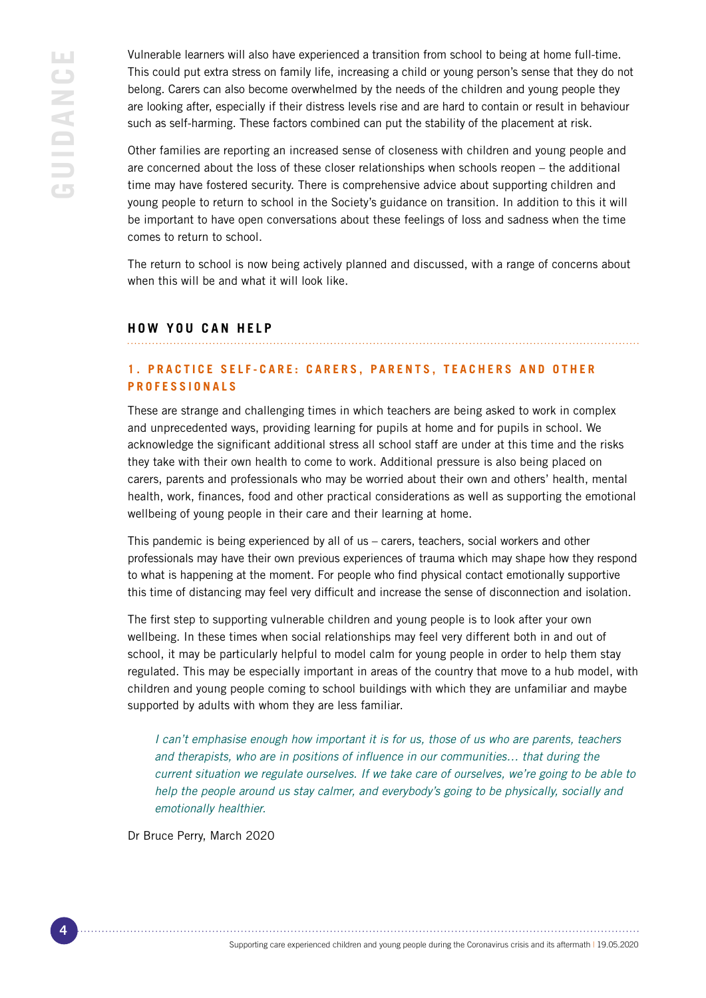Vulnerable learners will also have experienced a transition from school to being at home full-time. This could put extra stress on family life, increasing a child or young person's sense that they do not belong. Carers can also become overwhelmed by the needs of the children and young people they are looking after, especially if their distress levels rise and are hard to contain or result in behaviour such as self-harming. These factors combined can put the stability of the placement at risk.

Other families are reporting an increased sense of closeness with children and young people and are concerned about the loss of these closer relationships when schools reopen – the additional time may have fostered security. There is comprehensive advice about supporting children and young people to return to school in the Society's guidance on transition. In addition to this it will be important to have open conversations about these feelings of loss and sadness when the time comes to return to school.

The return to school is now being actively planned and discussed, with a range of concerns about when this will be and what it will look like.

## **HOW YOU CAN HELP**

## **1. PRACTICE SELF-CARE: CARERS, PARENTS, TEACHERS AND OTHER PROFESSIONALS**

These are strange and challenging times in which teachers are being asked to work in complex and unprecedented ways, providing learning for pupils at home and for pupils in school. We acknowledge the significant additional stress all school staff are under at this time and the risks they take with their own health to come to work. Additional pressure is also being placed on carers, parents and professionals who may be worried about their own and others' health, mental health, work, finances, food and other practical considerations as well as supporting the emotional wellbeing of young people in their care and their learning at home.

This pandemic is being experienced by all of us – carers, teachers, social workers and other professionals may have their own previous experiences of trauma which may shape how they respond to what is happening at the moment. For people who find physical contact emotionally supportive this time of distancing may feel very difficult and increase the sense of disconnection and isolation.

The first step to supporting vulnerable children and young people is to look after your own wellbeing. In these times when social relationships may feel very different both in and out of school, it may be particularly helpful to model calm for young people in order to help them stay regulated. This may be especially important in areas of the country that move to a hub model, with children and young people coming to school buildings with which they are unfamiliar and maybe supported by adults with whom they are less familiar.

*I can't emphasise enough how important it is for us, those of us who are parents, teachers and therapists, who are in positions of influence in our communities… that during the current situation we regulate ourselves. If we take care of ourselves, we're going to be able to help the people around us stay calmer, and everybody's going to be physically, socially and emotionally healthier.*

Dr Bruce Perry, March 2020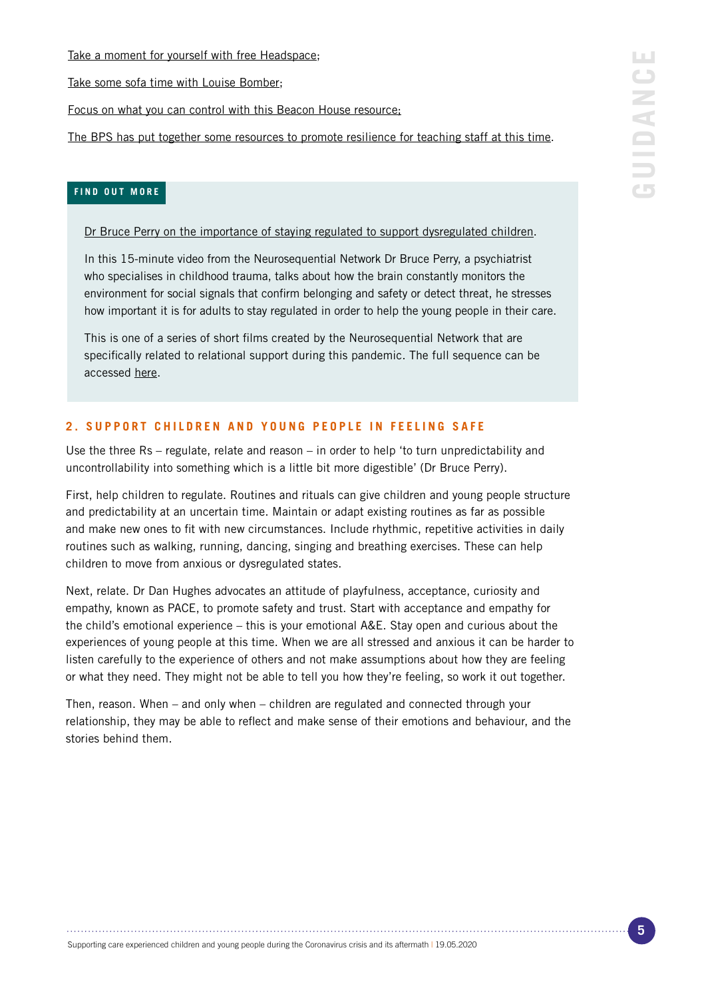[Take a moment for yourself with free Headspace](https://www.headspace.com/educators-covid-19);

[Take some sofa time with Louise Bomber;](https://www.youtube.com/channel/UC0Ax_dXNrol49Ss934UN-FQ)

[Focus on what you can control with this Beacon House resource](https://beaconhouse.org.uk/wp-content/uploads/2020/03/Circle-of-control.jpg);

[The BPS has put together some resources to promote resilience for teaching staff at this time.](https://www.bps.org.uk/sites/www.bps.org.uk/files/Member%20Networks/Divisions/DECP/Teacher%20resilience%20during%20coronavirus%20school%20closures.pdf)

## **FIND OUT MORE**

[Dr Bruce Perry on the importance of staying regulated to support dysregulated children.](https://www.youtube.com/watch?v=96evhMPcY2Y&feature=youtu.be)

In this 15-minute video from the Neurosequential Network Dr Bruce Perry, a psychiatrist who specialises in childhood trauma, talks about how the brain constantly monitors the environment for social signals that confirm belonging and safety or detect threat, he stresses how important it is for adults to stay regulated in order to help the young people in their care.

This is one of a series of short films created by the Neurosequential Network that are specifically related to relational support during this pandemic. The full sequence can be accessed [here](https://www.neurosequential.com/covid-19-resources).

# **2. SUPPORT CHILDREN AND YOUNG PEOPLE IN FEELING SAFE**

Use the three Rs – regulate, relate and reason – in order to help 'to turn unpredictability and uncontrollability into something which is a little bit more digestible' (Dr Bruce Perry).

First, help children to regulate. Routines and rituals can give children and young people structure and predictability at an uncertain time. Maintain or adapt existing routines as far as possible and make new ones to fit with new circumstances. Include rhythmic, repetitive activities in daily routines such as walking, running, dancing, singing and breathing exercises. These can help children to move from anxious or dysregulated states.

Next, relate. Dr Dan Hughes advocates an attitude of playfulness, acceptance, curiosity and empathy, known as PACE, to promote safety and trust. Start with acceptance and empathy for the child's emotional experience – this is your emotional A&E. Stay open and curious about the experiences of young people at this time. When we are all stressed and anxious it can be harder to listen carefully to the experience of others and not make assumptions about how they are feeling or what they need. They might not be able to tell you how they're feeling, so work it out together.

Then, reason. When – and only when – children are regulated and connected through your relationship, they may be able to reflect and make sense of their emotions and behaviour, and the stories behind them.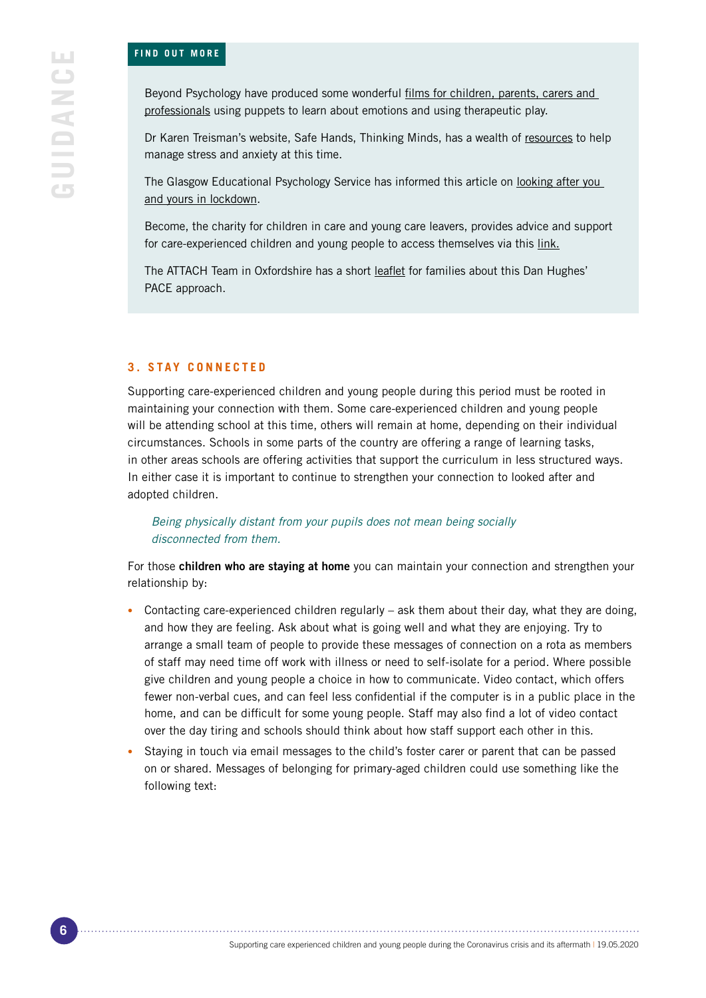#### **FIND OUT MORE**

Beyond Psychology have produced [some wonderful films for children, parents, carers and](https://www.youtube.com/watch?v=wpwsGwHEpbo)  [professionals using puppets to learn about emotions and using therapeutic play](https://www.youtube.com/watch?v=wpwsGwHEpbo).

Dr Karen Treisman's website, Safe Hands, Thinking Minds, has [a wealth of resources to help](http://www.safehandsthinkingminds.co.uk/covid-anxiety-stress-resources-links/)  [manage stress and anxiety at this time.](http://www.safehandsthinkingminds.co.uk/covid-anxiety-stress-resources-links/)

The Glasgow Educational Psychology Service has informed this article on [looking after you](https://www.glasgowtimes.co.uk/news/18379481.coronavirus-lockdown-look/)  [and yours in lockdown.](https://www.glasgowtimes.co.uk/news/18379481.coronavirus-lockdown-look/)

Become, the charity for children in care and young care leavers, provides [advice and support](https://www.glasgowtimes.co.uk/news/18379481.coronavirus-lockdown-look/)  [for care-experienced children and young people to access themselves via this link.](https://www.glasgowtimes.co.uk/news/18379481.coronavirus-lockdown-look/)

The ATTACH Team in Oxfordshire has a short [leaflet](https://ddpnetwork.org/about-ddp/meant-pace/  ) for families about this Dan Hughes' PACE approach.

#### **3. STAY CONNECTED**

Supporting care-experienced children and young people during this period must be rooted in maintaining your connection with them. Some care-experienced children and young people will be attending school at this time, others will remain at home, depending on their individual circumstances. Schools in some parts of the country are offering a range of learning tasks, in other areas schools are offering activities that support the curriculum in less structured ways. In either case it is important to continue to strengthen your connection to looked after and adopted children.

*Being physically distant from your pupils does not mean being socially disconnected from them.*

For those children who are staying at home you can maintain your connection and strengthen your relationship by:

- Contacting care-experienced children regularly ask them about their day, what they are doing, and how they are feeling. Ask about what is going well and what they are enjoying. Try to arrange a small team of people to provide these messages of connection on a rota as members of staff may need time off work with illness or need to self-isolate for a period. Where possible give children and young people a choice in how to communicate. Video contact, which offers fewer non-verbal cues, and can feel less confidential if the computer is in a public place in the home, and can be difficult for some young people. Staff may also find a lot of video contact over the day tiring and schools should think about how staff support each other in this.
- Staying in touch via email messages to the child's foster carer or parent that can be passed on or shared. Messages of belonging for primary-aged children could use something like the following text: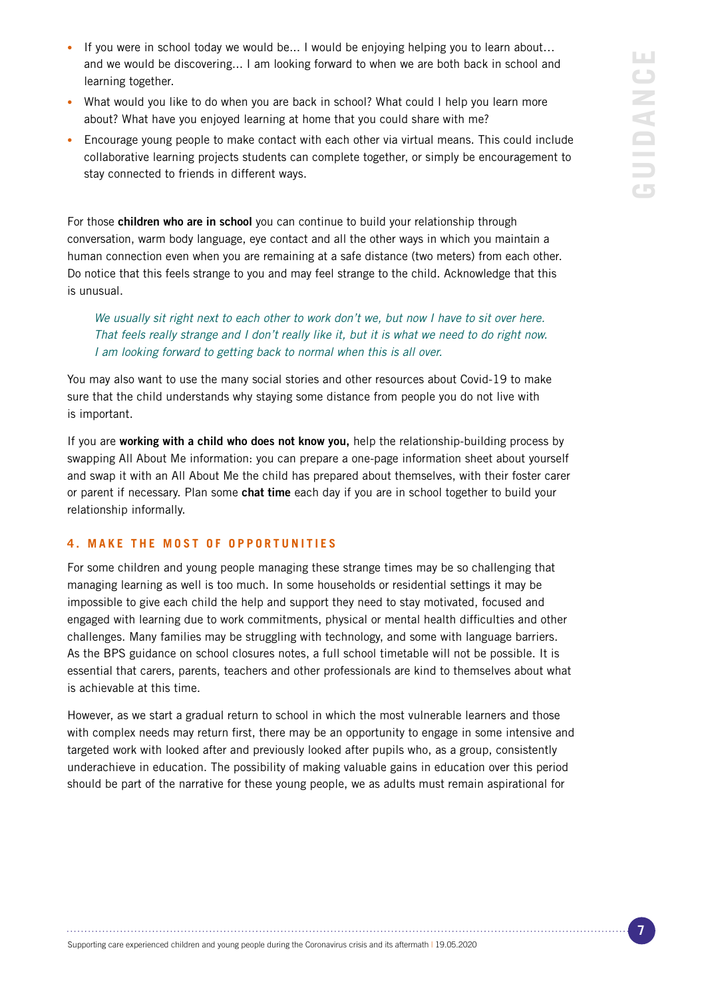- If you were in school today we would be... I would be enjoying helping you to learn about... and we would be discovering... I am looking forward to when we are both back in school and learning together.
- What would you like to do when you are back in school? What could I help you learn more about? What have you enjoyed learning at home that you could share with me?
- Encourage young people to make contact with each other via virtual means. This could include collaborative learning projects students can complete together, or simply be encouragement to stay connected to friends in different ways.

For those children who are in school you can continue to build your relationship through conversation, warm body language, eye contact and all the other ways in which you maintain a human connection even when you are remaining at a safe distance (two meters) from each other. Do notice that this feels strange to you and may feel strange to the child. Acknowledge that this is unusual.

*We usually sit right next to each other to work don't we, but now I have to sit over here. That feels really strange and I don't really like it, but it is what we need to do right now. I am looking forward to getting back to normal when this is all over.* 

You may also want to use the many social stories and other resources about Covid-19 to make sure that the child understands why staying some distance from people you do not live with is important.

If you are working with a child who does not know you, help the relationship-building process by swapping All About Me information: you can prepare a one-page information sheet about yourself and swap it with an All About Me the child has prepared about themselves, with their foster carer or parent if necessary. Plan some chat time each day if you are in school together to build your relationship informally.

#### **4. MAKE THE MOST OF OPPORTUNITIES**

For some children and young people managing these strange times may be so challenging that managing learning as well is too much. In some households or residential settings it may be impossible to give each child the help and support they need to stay motivated, focused and engaged with learning due to work commitments, physical or mental health difficulties and other challenges. Many families may be struggling with technology, and some with language barriers. As the BPS guidance on school closures notes, a full school timetable will not be possible. It is essential that carers, parents, teachers and other professionals are kind to themselves about what is achievable at this time.

However, as we start a gradual return to school in which the most vulnerable learners and those with complex needs may return first, there may be an opportunity to engage in some intensive and targeted work with looked after and previously looked after pupils who, as a group, consistently underachieve in education. The possibility of making valuable gains in education over this period should be part of the narrative for these young people, we as adults must remain aspirational for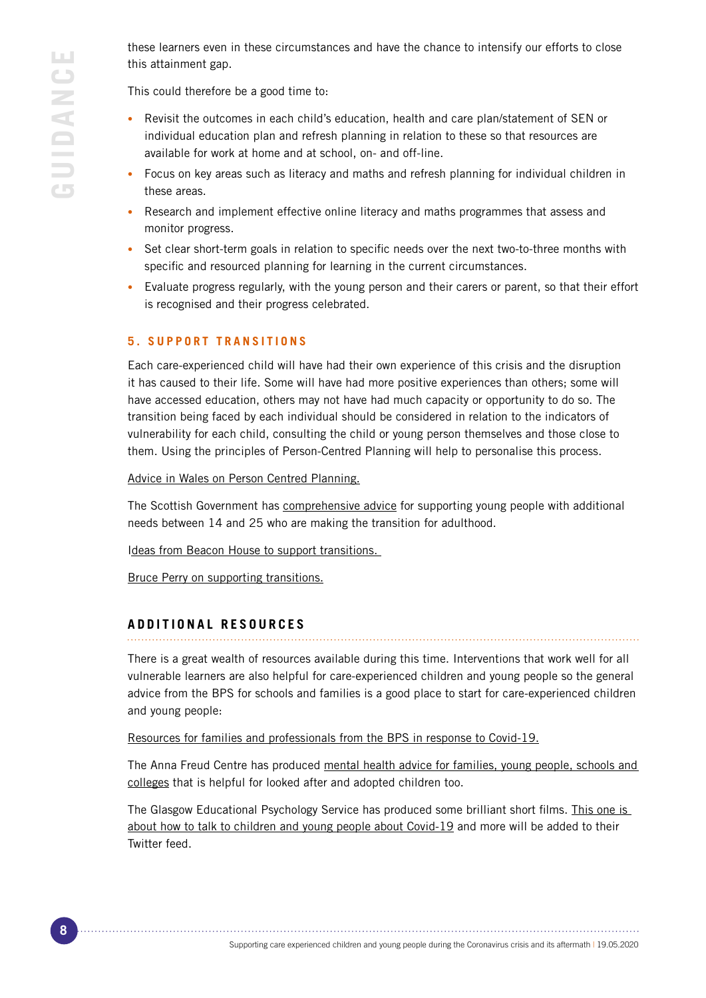these learners even in these circumstances and have the chance to intensify our efforts to close this attainment gap.

This could therefore be a good time to:

- Revisit the outcomes in each child's education, health and care plan/statement of SEN or individual education plan and refresh planning in relation to these so that resources are available for work at home and at school, on- and off-line.
- Focus on key areas such as literacy and maths and refresh planning for individual children in these areas.
- Research and implement effective online literacy and maths programmes that assess and monitor progress.
- Set clear short-term goals in relation to specific needs over the next two-to-three months with specific and resourced planning for learning in the current circumstances.
- Evaluate progress regularly, with the young person and their carers or parent, so that their effort is recognised and their progress celebrated.

## **5. SUPPORT TRANSITIONS**

Each care-experienced child will have had their own experience of this crisis and the disruption it has caused to their life. Some will have had more positive experiences than others; some will have accessed education, others may not have had much capacity or opportunity to do so. The transition being faced by each individual should be considered in relation to the indicators of vulnerability for each child, consulting the child or young person themselves and those close to them. Using the principles of Person-Centred Planning will help to personalise this process.

[Advice in Wales on Person Centred Planning.](https://gov.wales/sites/default/files/publications/2019-01/person-centred-practice-in-education-a-guide-for-early-years-schools-and-colleges-in-wales.pdf)

[The Scottish Government has comprehensive advice for supporting young people with additional](https://scottishtransitions.org.uk/summary-download/)  [needs between 14 and 25 who are making the transition for adulthood.](https://scottishtransitions.org.uk/summary-download/)

[Ideas from Beacon House to support transitions.](https://beaconhouse.org.uk/wp-content/uploads/2019/09/Supporting-Transitions-2.pdf)

[Bruce Perry on supporting transitions.](https://www.youtube.com/watch?v=cA7UbKnM0RM&feature=youtu.be)

## **ADDITIONAL RESOURCES**

There is a great wealth of resources available during this time. Interventions that work well for all vulnerable learners are also helpful for care-experienced children and young people so the general advice from the BPS for schools and families is a good place to start for care-experienced children and young people:

[Resources for families and professionals from the BPS in response to Covid-19.](https://www.bps.org.uk/responding-coronavirus)

The Anna Freud Centre has produced [mental health advice for families, young people, schools and](https://www.annafreud.org/what-we-do/anna-freud-learning-network/coronavirus/)  [colleges](https://www.annafreud.org/what-we-do/anna-freud-learning-network/coronavirus/) that is helpful for looked after and adopted children too.

The Glasgow Educational Psychology Service has produced some brilliant short films. This one is [about how to talk to children and young people about Covid-19](https://twitter.com/GlasgowEPS/status/1244641897936805889https://twitter.com/GlasgowEPS/status/1244641897936805889) and more will be added to their Twitter feed.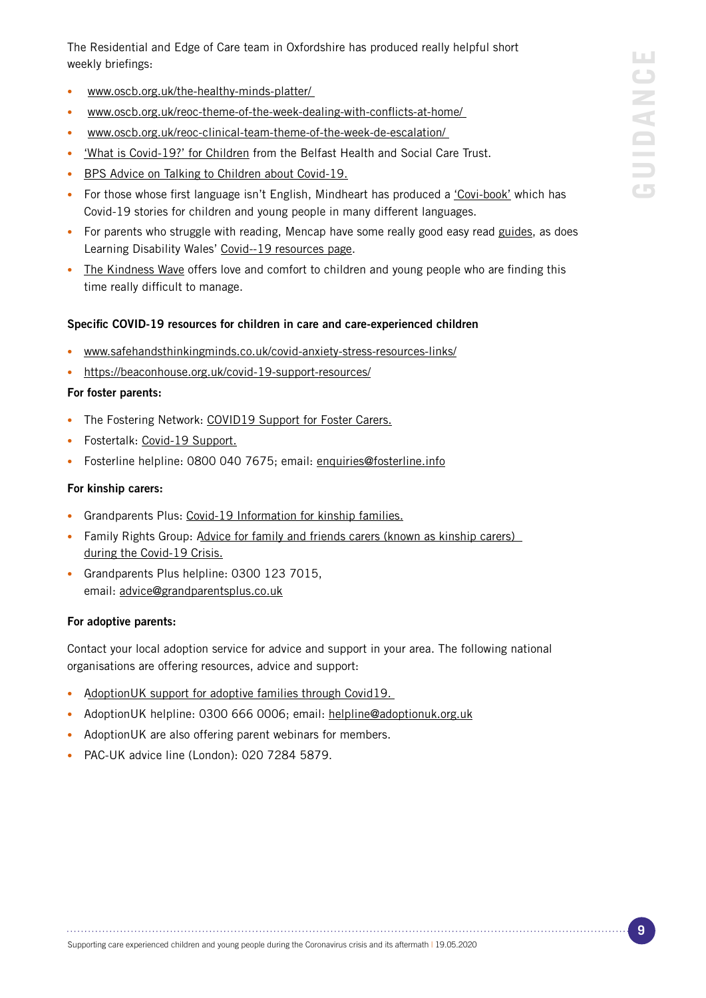The Residential and Edge of Care team in Oxfordshire has produced really helpful short weekly briefings:

- • [www.oscb.org.uk/the-healthy-minds-platter/]( https://www.oscb.org.uk/the-healthy-minds-platter/ )
- [www.oscb.org.uk/reoc-theme-of-the-week-dealing-with-conflicts-at-home/](https://www.oscb.org.uk/reoc-theme-of-the-week-dealing-with-conflicts-at-home/)
- • [www.oscb.org.uk/reoc-clinical-team-theme-of-the-week-de-escalation/]( https://www.oscb.org.uk/reoc-clinical-team-theme-of-the-week-de-escalation/ )
- ['What is Covid-19?' for Children](https://www.youtube.com/watch?v=WKS_WMwis9k) from the Belfast Health and Social Care Trust.
- [BPS Advice on Talking to Children about Covid-19](https://www.bps.org.uk/sites/www.bps.org.uk/files/Policy/Policy%20-%20Files/Talking%20to%20children%20about%20coronavirus.pdf).
- For those whose first language isn't English, Mindheart has produced a ['Covi-book'](https://www.mindheart.co/descargables) which has Covid-19 stories for children and young people in many different languages.
- For parents who struggle with reading, Mencap have some really good easy read [guides](https://www.mencap.org.uk/advice-and-support/coronavirus-covid-19), as does Learning Disability Wales' [Covid--19 resources page.](https://www.ldw.org.uk/project/coronavirus/)
- [The Kindness Wave](https://www.thekindnesswave.org.uk) offers love and comfort to children and young people who are finding this time really difficult to manage.

#### Specific COVID-19 resources for children in care and care-experienced children

- [www.safehandsthinkingminds.co.uk/covid-anxiety-stress-resources-links/](http://www.safehandsthinkingminds.co.uk/covid-anxiety-stress-resources-links/)
- <https://beaconhouse.org.uk/covid-19-support-resources/>

#### For foster parents:

- The Fostering Network: [COVID19 Support for Foster Carers](http://www.thefosteringnetwork.org.uk/covid-19-support-foster-carers).
- Fostertalk: [Covid-19 Support.](http://www.fostertalk.org/Coronavirus-support)
- Fosterline helpline: 0800 040 7675; email: [enquiries@fosterline.info](mailto:enquiries%40fosterline.info?subject=)

#### For kinship carers:

- Grandparents Plus: [Covid-19 Information for kinship families.](https://www.ldw.org.uk/project/coronavirus/)
- Family Rights Group: Advice for family and friends carers (known as kinship carers) [during the Covid-19 Crisis.](https://www.frg.org.uk/need-help-or-advice/family-and-friends-carers/information-for-family-and-friends-carers)
- Grandparents Plus helpline: 0300 123 7015, email: [advice@grandparentsplus.co.uk](mailto:advice%40grandparentsplus.co.uk?subject=)

#### For adoptive parents:

Contact your local adoption service for advice and support in your area. The following national organisations are offering resources, advice and support:

- [AdoptionUK support for adoptive families through Covid19.](https://www.adoptionuk.org/pages/category/covid-19)
- AdoptionUK helpline: 0300 666 0006; email: [helpline@adoptionuk.org.uk](mailto:helpline%40adoptionuk.org.uk?subject=)
- AdoptionUK are also offering parent webinars for members.
- PAC-UK advice line (London): 020 7284 5879.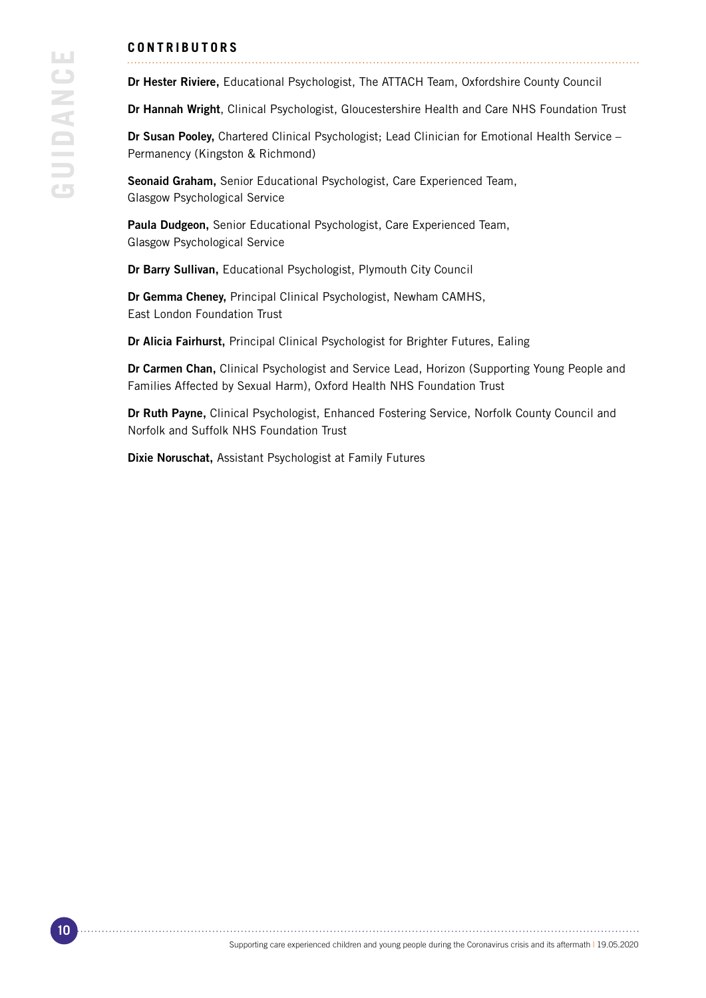### **C O N T R I B U T O R S**

Dr Hester Riviere, Educational Psychologist, The ATTACH Team, Oxfordshire County Council

Dr Hannah Wright, Clinical Psychologist, Gloucestershire Health and Care NHS Foundation Trust

Dr Susan Pooley, Chartered Clinical Psychologist; Lead Clinician for Emotional Health Service – Permanency (Kingston & Richmond)

Seonaid Graham, Senior Educational Psychologist, Care Experienced Team, Glasgow Psychological Service

Paula Dudgeon, Senior Educational Psychologist, Care Experienced Team, Glasgow Psychological Service

Dr Barry Sullivan, Educational Psychologist, Plymouth City Council

Dr Gemma Cheney, Principal Clinical Psychologist, Newham CAMHS, East London Foundation Trust

Dr Alicia Fairhurst, Principal Clinical Psychologist for Brighter Futures, Ealing

Dr Carmen Chan, Clinical Psychologist and Service Lead, Horizon (Supporting Young People and Families Affected by Sexual Harm), Oxford Health NHS Foundation Trust

Dr Ruth Payne, Clinical Psychologist, Enhanced Fostering Service, Norfolk County Council and Norfolk and Suffolk NHS Foundation Trust

Dixie Noruschat, Assistant Psychologist at Family Futures